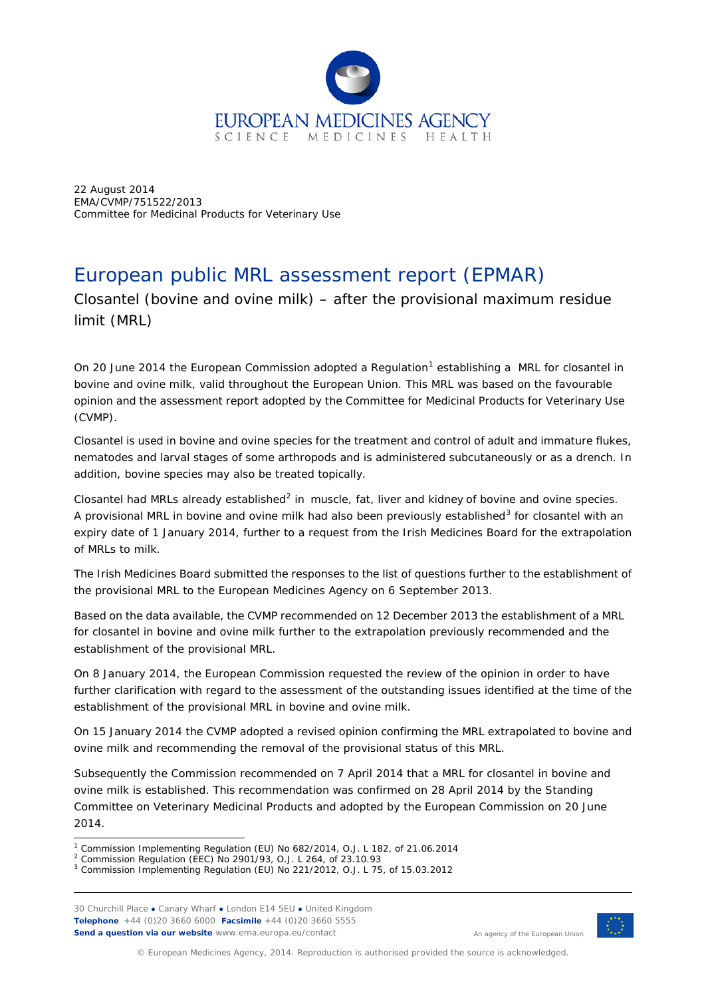

22 August 2014 EMA/CVMP/751522/2013 Committee for Medicinal Products for Veterinary Use

# European public MRL assessment report (EPMAR)

Closantel (bovine and ovine milk) – after the provisional maximum residue limit (MRL)

On 20 June 20[1](#page-0-0)4 the European Commission adopted a Regulation<sup>1</sup> establishing a MRL for closantel in bovine and ovine milk, valid throughout the European Union. This MRL was based on the favourable opinion and the assessment report adopted by the Committee for Medicinal Products for Veterinary Use (CVMP).

Closantel is used in bovine and ovine species for the treatment and control of adult and immature flukes, nematodes and larval stages of some arthropods and is administered subcutaneously or as a drench. In addition, bovine species may also be treated topically.

Closantel had MRLs already established $^2$  $^2$  in muscle, fat, liver and kidney of bovine and ovine species. A provisional MRL in bovine and ovine milk had also been previously established $3$  for closantel with an expiry date of 1 January 2014, further to a request from the Irish Medicines Board for the extrapolation of MRLs to milk.

The Irish Medicines Board submitted the responses to the list of questions further to the establishment of the provisional MRL to the European Medicines Agency on 6 September 2013.

Based on the data available, the CVMP recommended on 12 December 2013 the establishment of a MRL for closantel in bovine and ovine milk further to the extrapolation previously recommended and the establishment of the provisional MRL.

On 8 January 2014, the European Commission requested the review of the opinion in order to have further clarification with regard to the assessment of the outstanding issues identified at the time of the establishment of the provisional MRL in bovine and ovine milk.

On 15 January 2014 the CVMP adopted a revised opinion confirming the MRL extrapolated to bovine and ovine milk and recommending the removal of the provisional status of this MRL.

Subsequently the Commission recommended on 7 April 2014 that a MRL for closantel in bovine and ovine milk is established. This recommendation was confirmed on 28 April 2014 by the Standing Committee on Veterinary Medicinal Products and adopted by the European Commission on 20 June 2014.

ł

30 Churchill Place **●** Canary Wharf **●** London E14 5EU **●** United Kingdom **Telephone** +44 (0)20 3660 6000 **Facsimile** +44 (0)20 3660 5555 **Send a question via our website** www.ema.europa.eu/contact



An agency of the European Union

© European Medicines Agency, 2014. Reproduction is authorised provided the source is acknowledged.

<span id="page-0-0"></span><sup>1</sup> Commission Implementing Regulation (EU) No 682/2014, O.J. L 182, of 21.06.2014

<sup>2</sup> Commission Regulation (EEC) No 2901/93, O.J. L 264, of 23.10.93

<span id="page-0-2"></span><span id="page-0-1"></span><sup>3</sup> Commission Implementing Regulation (EU) No 221/2012, O.J. L 75, of 15.03.2012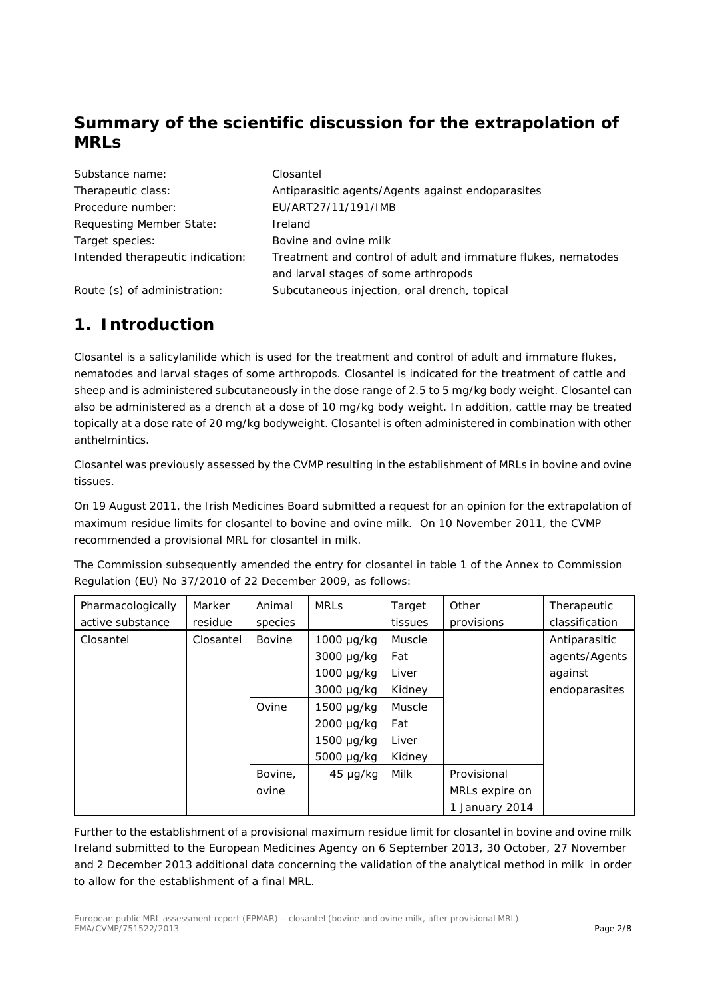# **Summary of the scientific discussion for the extrapolation of MRLs**

| Substance name:                  | Closantel                                                     |
|----------------------------------|---------------------------------------------------------------|
| Therapeutic class:               | Antiparasitic agents/Agents against endoparasites             |
| Procedure number:                | EU/ART27/11/191/IMB                                           |
| Requesting Member State:         | Ireland                                                       |
| Target species:                  | Bovine and ovine milk                                         |
| Intended therapeutic indication: | Treatment and control of adult and immature flukes, nematodes |
|                                  | and larval stages of some arthropods                          |
| Route (s) of administration:     | Subcutaneous injection, oral drench, topical                  |

# **1. Introduction**

Closantel is a salicylanilide which is used for the treatment and control of adult and immature flukes, nematodes and larval stages of some arthropods. Closantel is indicated for the treatment of cattle and sheep and is administered subcutaneously in the dose range of 2.5 to 5 mg/kg body weight. Closantel can also be administered as a drench at a dose of 10 mg/kg body weight. In addition, cattle may be treated topically at a dose rate of 20 mg/kg bodyweight. Closantel is often administered in combination with other anthelmintics.

Closantel was previously assessed by the CVMP resulting in the establishment of MRLs in bovine and ovine tissues.

On 19 August 2011, the Irish Medicines Board submitted a request for an opinion for the extrapolation of maximum residue limits for closantel to bovine and ovine milk. On 10 November 2011, the CVMP recommended a provisional MRL for closantel in milk.

The Commission subsequently amended the entry for closantel in table 1 of the Annex to Commission Regulation (EU) No 37/2010 of 22 December 2009, as follows:

| Pharmacologically | Marker    | Animal        | <b>MRLS</b>     | Target        | Other          | Therapeutic    |
|-------------------|-----------|---------------|-----------------|---------------|----------------|----------------|
| active substance  | residue   | species       |                 | tissues       | provisions     | classification |
| Closantel         | Closantel | <b>Bovine</b> | $1000 \mu g/kg$ | Muscle        |                | Antiparasitic  |
|                   |           |               | 3000 µg/kg      | Fat           |                | agents/Agents  |
|                   |           |               | $1000 \mu g/kg$ | Liver         |                | against        |
|                   |           |               | 3000 µg/kg      | Kidney        |                | endoparasites  |
|                   |           | Ovine         | $1500 \mu g/kg$ | <b>Muscle</b> |                |                |
|                   |           |               | 2000 µg/kg      | Fat           |                |                |
|                   |           |               | $1500 \mu g/kg$ | Liver         |                |                |
|                   |           |               | 5000 µg/kg      | Kidney        |                |                |
|                   |           | Bovine,       | $45 \mu g/kg$   | Milk          | Provisional    |                |
|                   |           | ovine         |                 |               | MRLs expire on |                |
|                   |           |               |                 |               | 1 January 2014 |                |

Further to the establishment of a provisional maximum residue limit for closantel in bovine and ovine milk Ireland submitted to the European Medicines Agency on 6 September 2013, 30 October, 27 November and 2 December 2013 additional data concerning the validation of the analytical method in milk in order to allow for the establishment of a final MRL.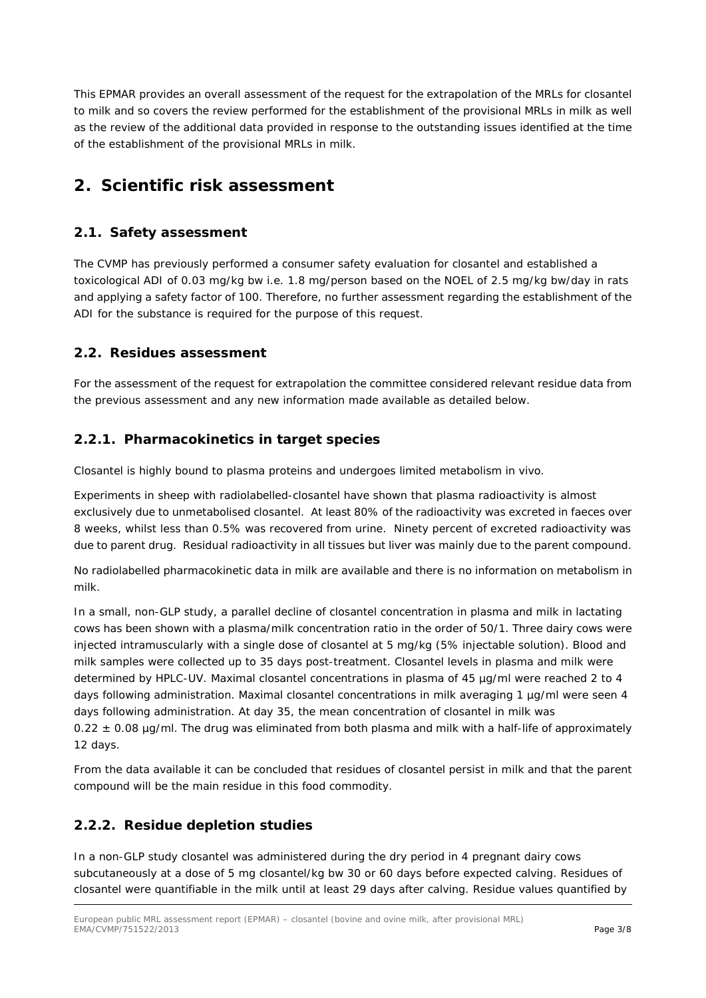This EPMAR provides an overall assessment of the request for the extrapolation of the MRLs for closantel to milk and so covers the review performed for the establishment of the provisional MRLs in milk as well as the review of the additional data provided in response to the outstanding issues identified at the time of the establishment of the provisional MRLs in milk.

# **2. Scientific risk assessment**

## *2.1. Safety assessment*

The CVMP has previously performed a consumer safety evaluation for closantel and established a toxicological ADI of 0.03 mg/kg bw i.e. 1.8 mg/person based on the NOEL of 2.5 mg/kg bw/day in rats and applying a safety factor of 100. Therefore, no further assessment regarding the establishment of the ADI for the substance is required for the purpose of this request.

### *2.2. Residues assessment*

For the assessment of the request for extrapolation the committee considered relevant residue data from the previous assessment and any new information made available as detailed below.

### **2.2.1. Pharmacokinetics in target species**

Closantel is highly bound to plasma proteins and undergoes limited metabolism *in vivo*.

Experiments in sheep with radiolabelled-closantel have shown that plasma radioactivity is almost exclusively due to unmetabolised closantel. At least 80% of the radioactivity was excreted in faeces over 8 weeks, whilst less than 0.5% was recovered from urine. Ninety percent of excreted radioactivity was due to parent drug. Residual radioactivity in all tissues but liver was mainly due to the parent compound.

No radiolabelled pharmacokinetic data in milk are available and there is no information on metabolism in milk.

In a small, non-GLP study, a parallel decline of closantel concentration in plasma and milk in lactating cows has been shown with a plasma/milk concentration ratio in the order of 50/1. Three dairy cows were injected intramuscularly with a single dose of closantel at 5 mg/kg (5% injectable solution). Blood and milk samples were collected up to 35 days post-treatment. Closantel levels in plasma and milk were determined by HPLC-UV. Maximal closantel concentrations in plasma of 45 µg/ml were reached 2 to 4 days following administration. Maximal closantel concentrations in milk averaging 1 µg/ml were seen 4 days following administration. At day 35, the mean concentration of closantel in milk was  $0.22 \pm 0.08$  µg/ml. The drug was eliminated from both plasma and milk with a half-life of approximately 12 days.

From the data available it can be concluded that residues of closantel persist in milk and that the parent compound will be the main residue in this food commodity.

# **2.2.2. Residue depletion studies**

In a non-GLP study closantel was administered during the dry period in 4 pregnant dairy cows subcutaneously at a dose of 5 mg closantel/kg bw 30 or 60 days before expected calving. Residues of closantel were quantifiable in the milk until at least 29 days after calving. Residue values quantified by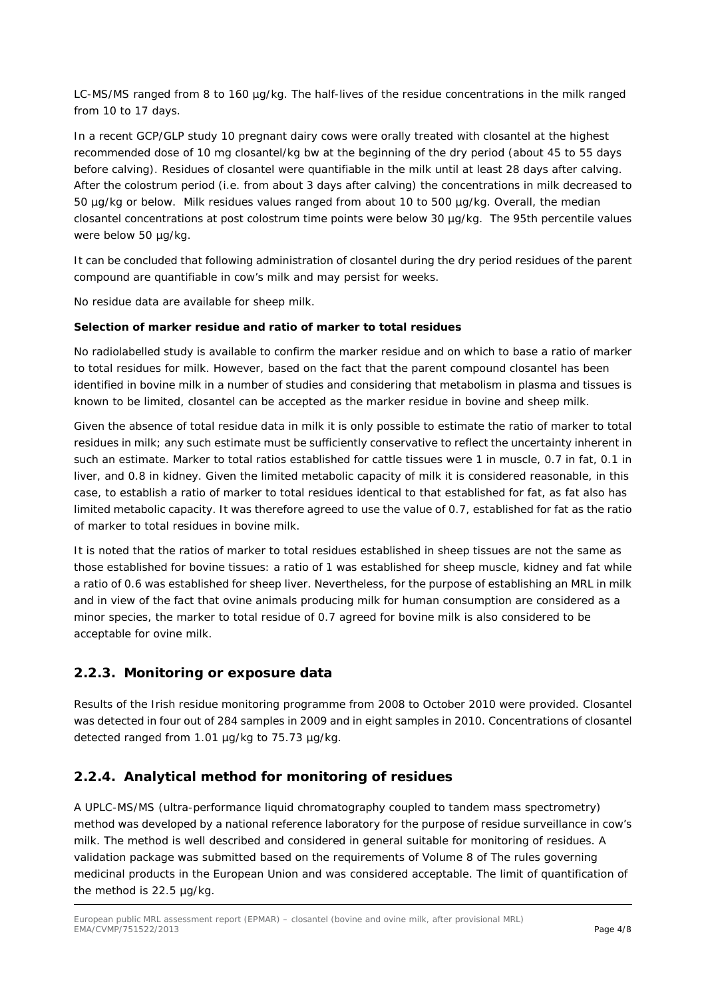LC-MS/MS ranged from 8 to 160 µg/kg. The half-lives of the residue concentrations in the milk ranged from 10 to 17 days.

In a recent GCP/GLP study 10 pregnant dairy cows were orally treated with closantel at the highest recommended dose of 10 mg closantel/kg bw at the beginning of the dry period (about 45 to 55 days before calving). Residues of closantel were quantifiable in the milk until at least 28 days after calving. After the colostrum period (i.e. from about 3 days after calving) the concentrations in milk decreased to 50 µg/kg or below. Milk residues values ranged from about 10 to 500 µg/kg. Overall, the median closantel concentrations at post colostrum time points were below 30 µg/kg. The 95th percentile values were below 50 µg/kg.

It can be concluded that following administration of closantel during the dry period residues of the parent compound are quantifiable in cow's milk and may persist for weeks.

No residue data are available for sheep milk.

#### **Selection of marker residue and ratio of marker to total residues**

No radiolabelled study is available to confirm the marker residue and on which to base a ratio of marker to total residues for milk. However, based on the fact that the parent compound closantel has been identified in bovine milk in a number of studies and considering that metabolism in plasma and tissues is known to be limited, closantel can be accepted as the marker residue in bovine and sheep milk.

Given the absence of total residue data in milk it is only possible to estimate the ratio of marker to total residues in milk; any such estimate must be sufficiently conservative to reflect the uncertainty inherent in such an estimate. Marker to total ratios established for cattle tissues were 1 in muscle, 0.7 in fat, 0.1 in liver, and 0.8 in kidney. Given the limited metabolic capacity of milk it is considered reasonable, in this case, to establish a ratio of marker to total residues identical to that established for fat, as fat also has limited metabolic capacity. It was therefore agreed to use the value of 0.7, established for fat as the ratio of marker to total residues in bovine milk.

It is noted that the ratios of marker to total residues established in sheep tissues are not the same as those established for bovine tissues: a ratio of 1 was established for sheep muscle, kidney and fat while a ratio of 0.6 was established for sheep liver. Nevertheless, for the purpose of establishing an MRL in milk and in view of the fact that ovine animals producing milk for human consumption are considered as a minor species, the marker to total residue of 0.7 agreed for bovine milk is also considered to be acceptable for ovine milk.

#### **2.2.3. Monitoring or exposure data**

Results of the Irish residue monitoring programme from 2008 to October 2010 were provided. Closantel was detected in four out of 284 samples in 2009 and in eight samples in 2010. Concentrations of closantel detected ranged from 1.01 µg/kg to 75.73 µg/kg.

#### **2.2.4. Analytical method for monitoring of residues**

A UPLC-MS/MS (ultra-performance liquid chromatography coupled to tandem mass spectrometry) method was developed by a national reference laboratory for the purpose of residue surveillance in cow's milk. The method is well described and considered in general suitable for monitoring of residues. A validation package was submitted based on the requirements of Volume 8 of The rules governing medicinal products in the European Union and was considered acceptable. The limit of quantification of the method is 22.5 µg/kg.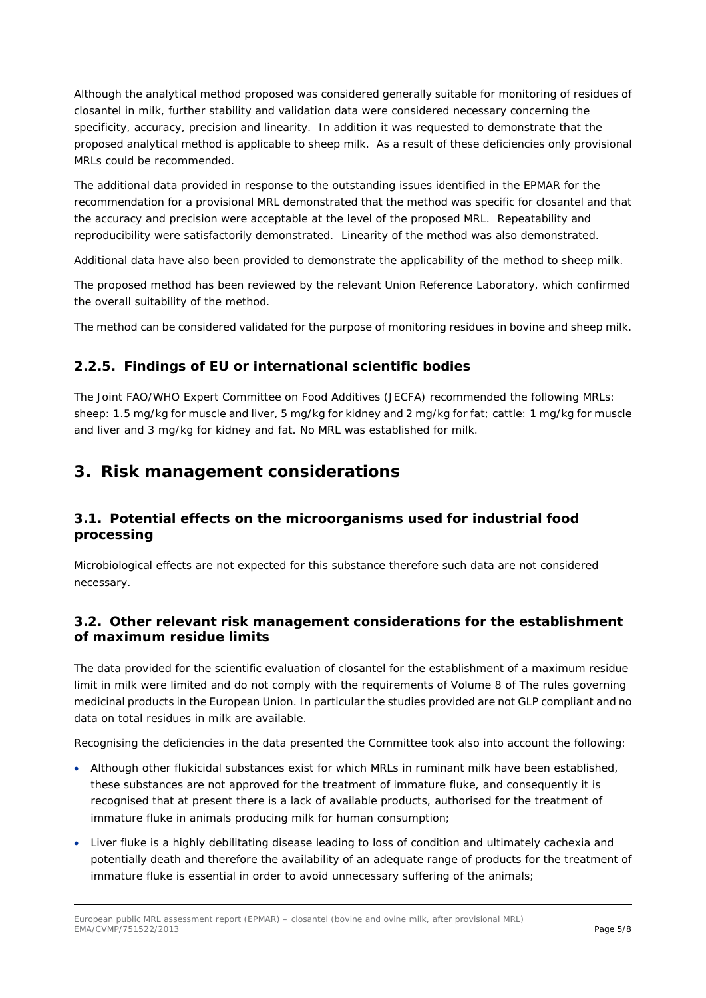Although the analytical method proposed was considered generally suitable for monitoring of residues of closantel in milk, further stability and validation data were considered necessary concerning the specificity, accuracy, precision and linearity. In addition it was requested to demonstrate that the proposed analytical method is applicable to sheep milk. As a result of these deficiencies only provisional MRLs could be recommended.

The additional data provided in response to the outstanding issues identified in the EPMAR for the recommendation for a provisional MRL demonstrated that the method was specific for closantel and that the accuracy and precision were acceptable at the level of the proposed MRL. Repeatability and reproducibility were satisfactorily demonstrated. Linearity of the method was also demonstrated.

Additional data have also been provided to demonstrate the applicability of the method to sheep milk.

The proposed method has been reviewed by the relevant Union Reference Laboratory, which confirmed the overall suitability of the method.

The method can be considered validated for the purpose of monitoring residues in bovine and sheep milk.

# **2.2.5. Findings of EU or international scientific bodies**

The Joint FAO/WHO Expert Committee on Food Additives (JECFA) recommended the following MRLs: sheep: 1.5 mg/kg for muscle and liver, 5 mg/kg for kidney and 2 mg/kg for fat; cattle: 1 mg/kg for muscle and liver and 3 mg/kg for kidney and fat. No MRL was established for milk.

# **3. Risk management considerations**

# *3.1. Potential effects on the microorganisms used for industrial food processing*

Microbiological effects are not expected for this substance therefore such data are not considered necessary.

# *3.2. Other relevant risk management considerations for the establishment of maximum residue limits*

The data provided for the scientific evaluation of closantel for the establishment of a maximum residue limit in milk were limited and do not comply with the requirements of Volume 8 of *The rules governing medicinal products in the European Union.* In particular the studies provided are not GLP compliant and no data on total residues in milk are available.

Recognising the deficiencies in the data presented the Committee took also into account the following:

- Although other flukicidal substances exist for which MRLs in ruminant milk have been established, these substances are not approved for the treatment of immature fluke, and consequently it is recognised that at present there is a lack of available products, authorised for the treatment of immature fluke in animals producing milk for human consumption;
- Liver fluke is a highly debilitating disease leading to loss of condition and ultimately cachexia and potentially death and therefore the availability of an adequate range of products for the treatment of immature fluke is essential in order to avoid unnecessary suffering of the animals;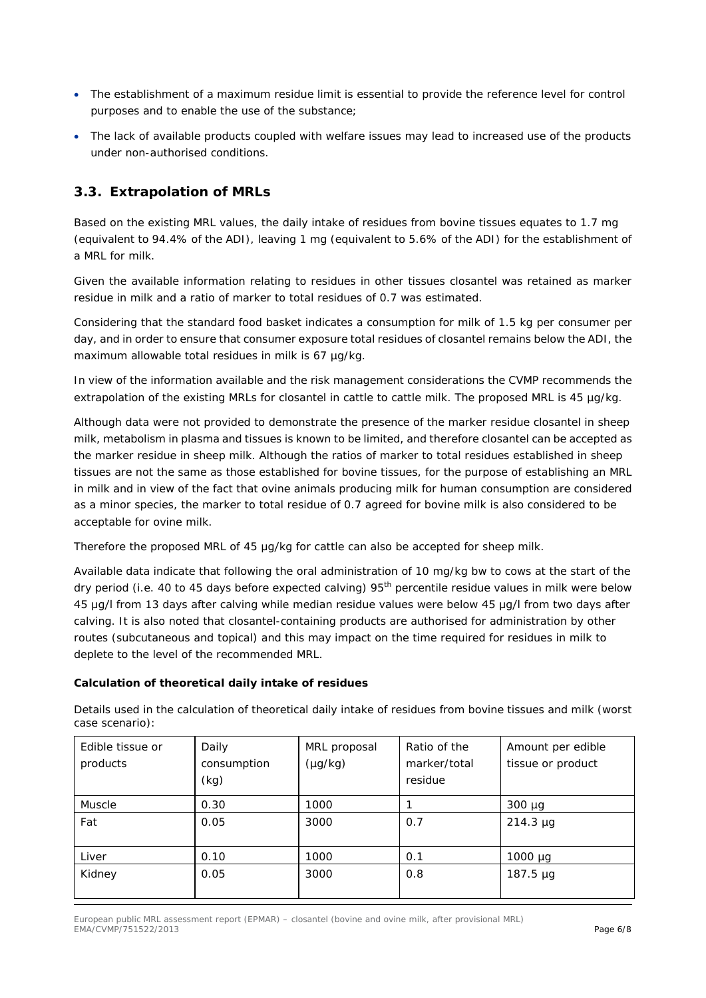- The establishment of a maximum residue limit is essential to provide the reference level for control purposes and to enable the use of the substance;
- The lack of available products coupled with welfare issues may lead to increased use of the products under non-authorised conditions.

## *3.3. Extrapolation of MRLs*

Based on the existing MRL values, the daily intake of residues from bovine tissues equates to 1.7 mg (equivalent to 94.4% of the ADI), leaving 1 mg (equivalent to 5.6% of the ADI) for the establishment of a MRL for milk.

Given the available information relating to residues in other tissues closantel was retained as marker residue in milk and a ratio of marker to total residues of 0.7 was estimated.

Considering that the standard food basket indicates a consumption for milk of 1.5 kg per consumer per day, and in order to ensure that consumer exposure total residues of closantel remains below the ADI, the maximum allowable total residues in milk is 67 µg/kg.

In view of the information available and the risk management considerations the CVMP recommends the extrapolation of the existing MRLs for closantel in cattle to cattle milk. The proposed MRL is 45 µg/kg.

Although data were not provided to demonstrate the presence of the marker residue closantel in sheep milk, metabolism in plasma and tissues is known to be limited, and therefore closantel can be accepted as the marker residue in sheep milk. Although the ratios of marker to total residues established in sheep tissues are not the same as those established for bovine tissues, for the purpose of establishing an MRL in milk and in view of the fact that ovine animals producing milk for human consumption are considered as a minor species, the marker to total residue of 0.7 agreed for bovine milk is also considered to be acceptable for ovine milk.

Therefore the proposed MRL of 45 μg/kg for cattle can also be accepted for sheep milk.

Available data indicate that following the oral administration of 10 mg/kg bw to cows at the start of the dry period (i.e. 40 to 45 days before expected calving) 95<sup>th</sup> percentile residue values in milk were below 45 μg/l from 13 days after calving while median residue values were below 45 μg/l from two days after calving. It is also noted that closantel-containing products are authorised for administration by other routes (subcutaneous and topical) and this may impact on the time required for residues in milk to deplete to the level of the recommended MRL.

#### **Calculation of theoretical daily intake of residues**

| Edible tissue or<br>products | Daily<br>consumption<br>(kg) | MRL proposal<br>$(\mu g/kg)$ | Ratio of the<br>marker/total<br>residue | Amount per edible<br>tissue or product |
|------------------------------|------------------------------|------------------------------|-----------------------------------------|----------------------------------------|
| Muscle                       | 0.30                         | 1000                         |                                         | $300 \mu g$                            |
| Fat                          | 0.05                         | 3000                         | 0.7                                     | $214.3 \mu g$                          |
| Liver                        | 0.10                         | 1000                         | 0.1                                     | $1000 \mu g$                           |
| Kidney                       | 0.05                         | 3000                         | 0.8                                     | 187.5 µg                               |

Details used in the calculation of theoretical daily intake of residues from bovine tissues and milk (worst case scenario):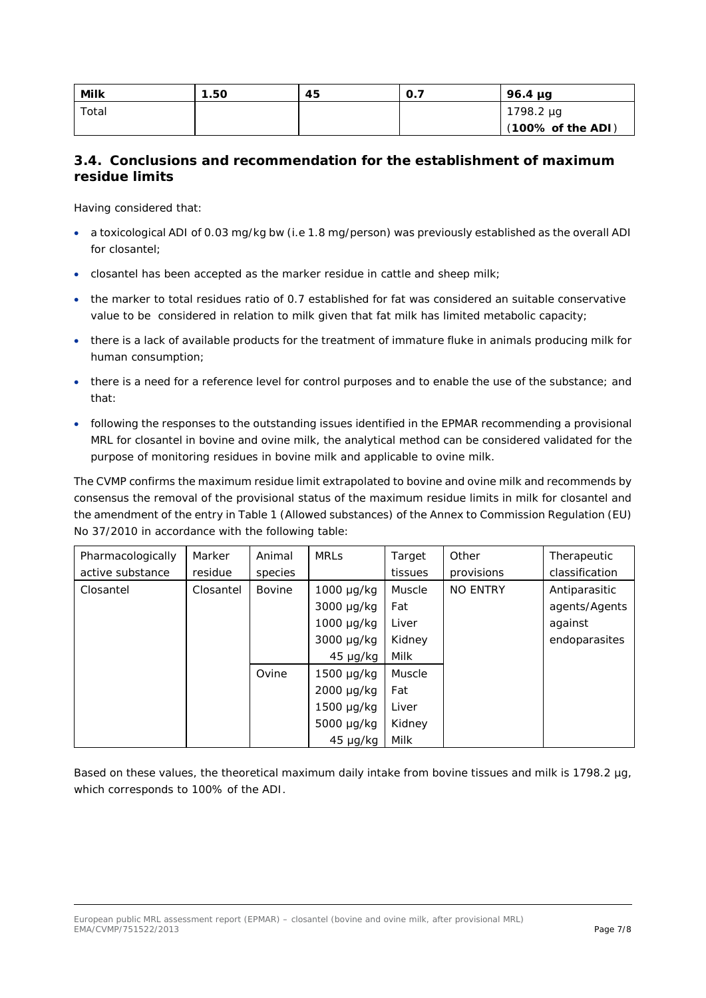| Milk  | 1.50 | 45 | O.7 | $96.4 \mu$ g                 |
|-------|------|----|-----|------------------------------|
| Total |      |    |     | 1798.2 µg                    |
|       |      |    |     | $(100\% \text{ of the ADI})$ |

## *3.4. Conclusions and recommendation for the establishment of maximum residue limits*

Having considered that:

- a toxicological ADI of 0.03 mg/kg bw (i.e 1.8 mg/person) was previously established as the overall ADI for closantel;
- closantel has been accepted as the marker residue in cattle and sheep milk;
- the marker to total residues ratio of 0.7 established for fat was considered an suitable conservative value to be considered in relation to milk given that fat milk has limited metabolic capacity;
- there is a lack of available products for the treatment of immature fluke in animals producing milk for human consumption;
- there is a need for a reference level for control purposes and to enable the use of the substance; and that:
- following the responses to the outstanding issues identified in the EPMAR recommending a provisional MRL for closantel in bovine and ovine milk, the analytical method can be considered validated for the purpose of monitoring residues in bovine milk and applicable to ovine milk.

The CVMP confirms the maximum residue limit extrapolated to bovine and ovine milk and recommends by consensus the removal of the provisional status of the maximum residue limits in milk for closantel and the amendment of the entry in Table 1 (Allowed substances) of the Annex to Commission Regulation (EU) No 37/2010 in accordance with the following table:

| Pharmacologically | Marker    | Animal  | <b>MRLS</b>     | Target        | Other           | Therapeutic    |
|-------------------|-----------|---------|-----------------|---------------|-----------------|----------------|
| active substance  | residue   | species |                 | tissues       | provisions      | classification |
| Closantel         | Closantel | Bovine  | $1000 \mu g/kg$ | <b>Muscle</b> | <b>NO ENTRY</b> | Antiparasitic  |
|                   |           |         | 3000 µg/kg      | Fat           |                 | agents/Agents  |
|                   |           |         | $1000 \mu g/kg$ | Liver         |                 | against        |
|                   |           |         | 3000 µg/kg      | Kidney        |                 | endoparasites  |
|                   |           |         | $45 \mu g/kg$   | Milk          |                 |                |
|                   |           | Ovine   | 1500 µg/kg      | Muscle        |                 |                |
|                   |           |         | $2000 \mu g/kg$ | Fat           |                 |                |
|                   |           |         | $1500 \mu g/kg$ | Liver         |                 |                |
|                   |           |         | 5000 µg/kg      | Kidney        |                 |                |
|                   |           |         | $45 \mu g/kg$   | Milk          |                 |                |

Based on these values, the theoretical maximum daily intake from bovine tissues and milk is 1798.2 µg, which corresponds to 100% of the ADI.